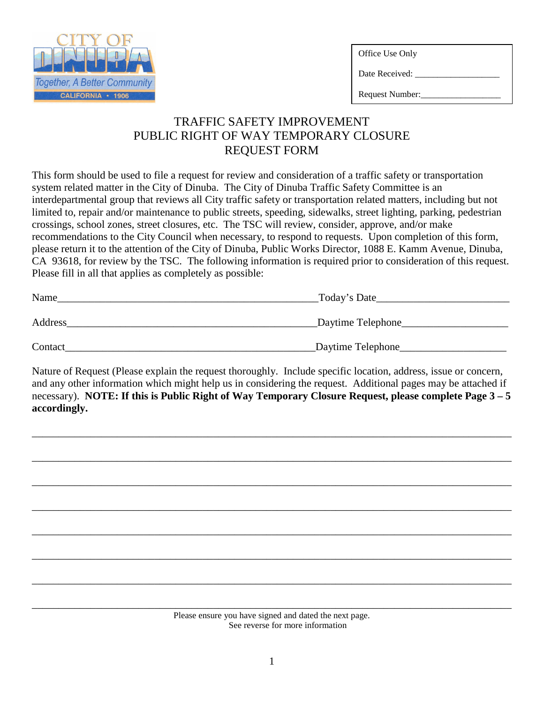

Office Use Only

Date Received:

Request Number:

# TRAFFIC SAFETY IMPROVEMENT PUBLIC RIGHT OF WAY TEMPORARY CLOSURE REQUEST FORM

This form should be used to file a request for review and consideration of a traffic safety or transportation system related matter in the City of Dinuba. The City of Dinuba Traffic Safety Committee is an interdepartmental group that reviews all City traffic safety or transportation related matters, including but not limited to, repair and/or maintenance to public streets, speeding, sidewalks, street lighting, parking, pedestrian crossings, school zones, street closures, etc. The TSC will review, consider, approve, and/or make recommendations to the City Council when necessary, to respond to requests. Upon completion of this form, please return it to the attention of the City of Dinuba, Public Works Director, 1088 E. Kamm Avenue, Dinuba, CA 93618, for review by the TSC. The following information is required prior to consideration of this request. Please fill in all that applies as completely as possible:

| Name    | _Today's Date_    |  |
|---------|-------------------|--|
| Address | Daytime Telephone |  |
|         |                   |  |
| Contact | Daytime Telephone |  |

Nature of Request (Please explain the request thoroughly. Include specific location, address, issue or concern, and any other information which might help us in considering the request. Additional pages may be attached if necessary). **NOTE: If this is Public Right of Way Temporary Closure Request, please complete Page 3 – 5 accordingly.**

\_\_\_\_\_\_\_\_\_\_\_\_\_\_\_\_\_\_\_\_\_\_\_\_\_\_\_\_\_\_\_\_\_\_\_\_\_\_\_\_\_\_\_\_\_\_\_\_\_\_\_\_\_\_\_\_\_\_\_\_\_\_\_\_\_\_\_\_\_\_\_\_\_\_\_\_\_\_\_\_\_\_\_\_\_\_\_\_\_\_

\_\_\_\_\_\_\_\_\_\_\_\_\_\_\_\_\_\_\_\_\_\_\_\_\_\_\_\_\_\_\_\_\_\_\_\_\_\_\_\_\_\_\_\_\_\_\_\_\_\_\_\_\_\_\_\_\_\_\_\_\_\_\_\_\_\_\_\_\_\_\_\_\_\_\_\_\_\_\_\_\_\_\_\_\_\_\_\_\_\_

\_\_\_\_\_\_\_\_\_\_\_\_\_\_\_\_\_\_\_\_\_\_\_\_\_\_\_\_\_\_\_\_\_\_\_\_\_\_\_\_\_\_\_\_\_\_\_\_\_\_\_\_\_\_\_\_\_\_\_\_\_\_\_\_\_\_\_\_\_\_\_\_\_\_\_\_\_\_\_\_\_\_\_\_\_\_\_\_\_\_

\_\_\_\_\_\_\_\_\_\_\_\_\_\_\_\_\_\_\_\_\_\_\_\_\_\_\_\_\_\_\_\_\_\_\_\_\_\_\_\_\_\_\_\_\_\_\_\_\_\_\_\_\_\_\_\_\_\_\_\_\_\_\_\_\_\_\_\_\_\_\_\_\_\_\_\_\_\_\_\_\_\_\_\_\_\_\_\_\_\_

\_\_\_\_\_\_\_\_\_\_\_\_\_\_\_\_\_\_\_\_\_\_\_\_\_\_\_\_\_\_\_\_\_\_\_\_\_\_\_\_\_\_\_\_\_\_\_\_\_\_\_\_\_\_\_\_\_\_\_\_\_\_\_\_\_\_\_\_\_\_\_\_\_\_\_\_\_\_\_\_\_\_\_\_\_\_\_\_\_\_

\_\_\_\_\_\_\_\_\_\_\_\_\_\_\_\_\_\_\_\_\_\_\_\_\_\_\_\_\_\_\_\_\_\_\_\_\_\_\_\_\_\_\_\_\_\_\_\_\_\_\_\_\_\_\_\_\_\_\_\_\_\_\_\_\_\_\_\_\_\_\_\_\_\_\_\_\_\_\_\_\_\_\_\_\_\_\_\_\_\_

\_\_\_\_\_\_\_\_\_\_\_\_\_\_\_\_\_\_\_\_\_\_\_\_\_\_\_\_\_\_\_\_\_\_\_\_\_\_\_\_\_\_\_\_\_\_\_\_\_\_\_\_\_\_\_\_\_\_\_\_\_\_\_\_\_\_\_\_\_\_\_\_\_\_\_\_\_\_\_\_\_\_\_\_\_\_\_\_\_\_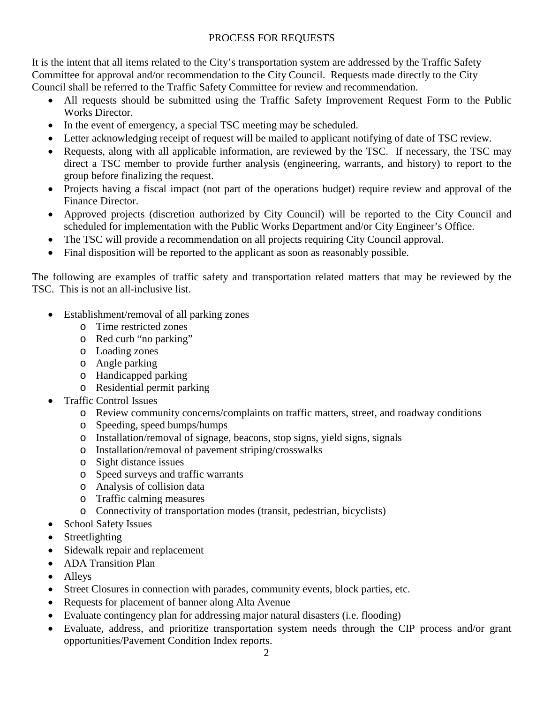### PROCESS FOR REQUESTS

It is the intent that all items related to the City's transportation system are addressed by the Traffic Safety Committee for approval and/or recommendation to the City Council. Requests made directly to the City Council shall be referred to the Traffic Safety Committee for review and recommendation.

- All requests should be submitted using the Traffic Safety Improvement Request Form to the Public Works Director.
- In the event of emergency, a special TSC meeting may be scheduled.
- Letter acknowledging receipt of request will be mailed to applicant notifying of date of TSC review.
- Requests, along with all applicable information, are reviewed by the TSC. If necessary, the TSC may direct a TSC member to provide further analysis (engineering, warrants, and history) to report to the group before finalizing the request.
- Projects having a fiscal impact (not part of the operations budget) require review and approval of the Finance Director.
- Approved projects (discretion authorized by City Council) will be reported to the City Council and scheduled for implementation with the Public Works Department and/or City Engineer's Office.
- The TSC will provide a recommendation on all projects requiring City Council approval.
- Final disposition will be reported to the applicant as soon as reasonably possible.

The following are examples of traffic safety and transportation related matters that may be reviewed by the TSC. This is not an all-inclusive list.

- Establishment/removal of all parking zones
	- o Time restricted zones
	- o Red curb "no parking"
	- o Loading zones
	- o Angle parking
	- o Handicapped parking
	- o Residential permit parking
- Traffic Control Issues
	- o Review community concerns/complaints on traffic matters, street, and roadway conditions
	- o Speeding, speed bumps/humps
	- o Installation/removal of signage, beacons, stop signs, yield signs, signals
	- o Installation/removal of pavement striping/crosswalks
	- o Sight distance issues
	- o Speed surveys and traffic warrants
	- o Analysis of collision data
	- o Traffic calming measures
	- o Connectivity of transportation modes (transit, pedestrian, bicyclists)
- School Safety Issues
- **Streetlighting**
- Sidewalk repair and replacement
- ADA Transition Plan
- Alleys
- Street Closures in connection with parades, community events, block parties, etc.
- Requests for placement of banner along Alta Avenue
- Evaluate contingency plan for addressing major natural disasters (i.e. flooding)
- Evaluate, address, and prioritize transportation system needs through the CIP process and/or grant opportunities/Pavement Condition Index reports.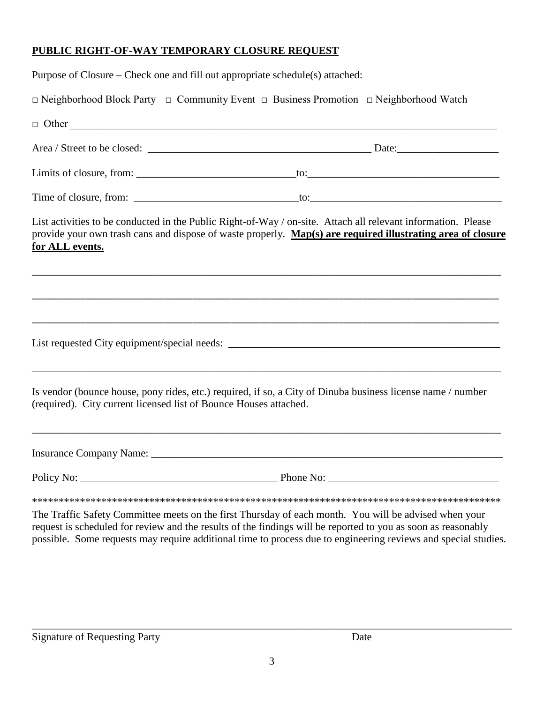## **PUBLIC RIGHT-OF-WAY TEMPORARY CLOSURE REQUEST**

| Purpose of Closure – Check one and fill out appropriate schedule(s) attached: |                                                                                                                                                                                                                              |
|-------------------------------------------------------------------------------|------------------------------------------------------------------------------------------------------------------------------------------------------------------------------------------------------------------------------|
|                                                                               | $\Box$ Neighborhood Block Party $\Box$ Community Event $\Box$ Business Promotion $\Box$ Neighborhood Watch                                                                                                                   |
|                                                                               | $\Box$ Other                                                                                                                                                                                                                 |
|                                                                               |                                                                                                                                                                                                                              |
|                                                                               |                                                                                                                                                                                                                              |
|                                                                               |                                                                                                                                                                                                                              |
| for ALL events.                                                               | List activities to be conducted in the Public Right-of-Way / on-site. Attach all relevant information. Please<br>provide your own trash cans and dispose of waste properly. Map(s) are required illustrating area of closure |
|                                                                               | ,我们也不能会在这里的人,我们也不能会在这里,我们也不能会在这里,我们也不能会在这里,我们也不能会在这里,我们也不能会在这里,我们也不能会不能会不能会。""我们,                                                                                                                                            |
|                                                                               |                                                                                                                                                                                                                              |
| (required). City current licensed list of Bounce Houses attached.             | Is vendor (bounce house, pony rides, etc.) required, if so, a City of Dinuba business license name / number                                                                                                                  |
|                                                                               |                                                                                                                                                                                                                              |
|                                                                               |                                                                                                                                                                                                                              |
|                                                                               |                                                                                                                                                                                                                              |
|                                                                               | The Traffic Safety Committee meets on the first Thursday of each month. You will be advised when your                                                                                                                        |

The Traffic Safety Committee meets on the first Thursday of each month. You will be advised when your request is scheduled for review and the results of the findings will be reported to you as soon as reasonably possible. Some requests may require additional time to process due to engineering reviews and special studies.

\_\_\_\_\_\_\_\_\_\_\_\_\_\_\_\_\_\_\_\_\_\_\_\_\_\_\_\_\_\_\_\_\_\_\_\_\_\_\_\_\_\_\_\_\_\_\_\_\_\_\_\_\_\_\_\_\_\_\_\_\_\_\_\_\_\_\_\_\_\_\_\_\_\_\_\_\_\_\_\_\_\_\_\_\_\_\_\_\_\_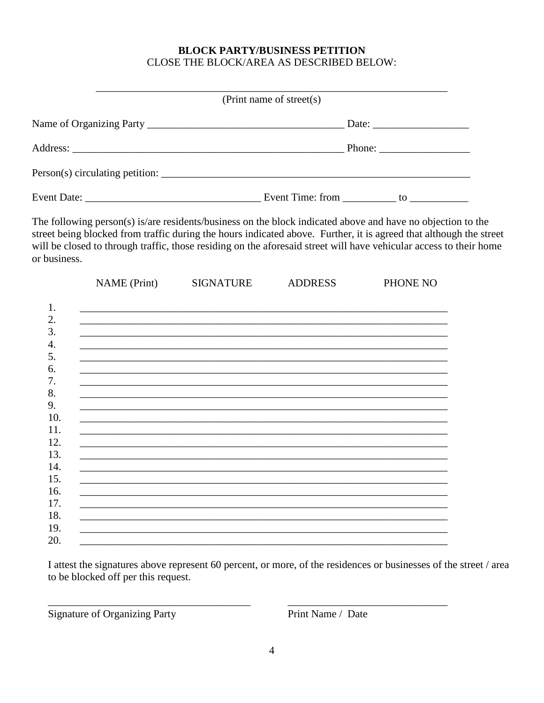### **BLOCK PARTY/BUSINESS PETITION** CLOSE THE BLOCK/AREA AS DESCRIBED BELOW:

| (Print name of street(s)        |
|---------------------------------|
|                                 |
|                                 |
| Person(s) circulating petition: |
|                                 |

The following person(s) is/are residents/business on the block indicated above and have no objection to the street being blocked from traffic during the hours indicated above. Further, it is agreed that although the street will be closed to through traffic, those residing on the aforesaid street will have vehicular access to their home or business.

| <b>NAME</b> (Print) | <b>SIGNATURE</b> | <b>ADDRESS</b> | PHONE NO |
|---------------------|------------------|----------------|----------|
|                     |                  |                |          |
|                     |                  |                |          |
|                     |                  |                |          |
|                     |                  |                |          |
|                     |                  |                |          |
|                     |                  |                |          |
|                     |                  |                |          |
|                     |                  |                |          |
|                     |                  |                |          |
|                     |                  |                |          |
|                     |                  |                |          |
|                     |                  |                |          |
|                     |                  |                |          |
|                     |                  |                |          |
|                     |                  |                |          |
|                     |                  |                |          |

I attest the signatures above represent 60 percent, or more, of the residences or businesses of the street / area to be blocked off per this request.

**Signature of Organizing Party** 

Print Name / Date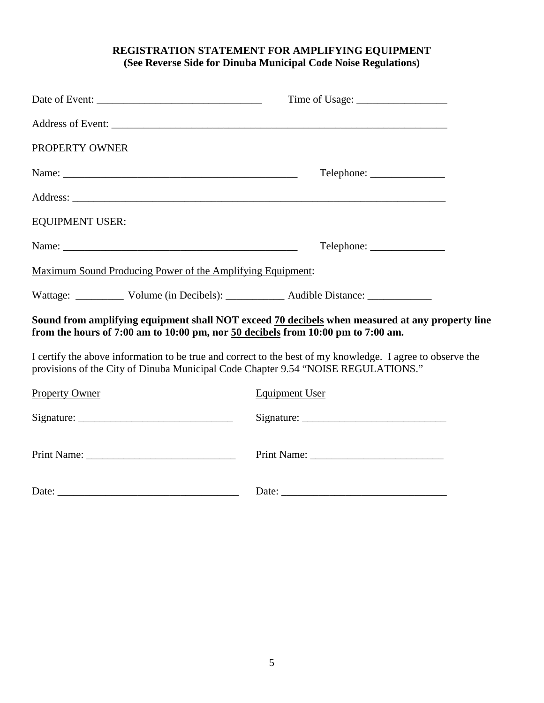### **REGISTRATION STATEMENT FOR AMPLIFYING EQUIPMENT (See Reverse Side for Dinuba Municipal Code Noise Regulations)**

| PROPERTY OWNER                                                                    |                                                                                                                                                                                                                                                                                                                                                                                                               |
|-----------------------------------------------------------------------------------|---------------------------------------------------------------------------------------------------------------------------------------------------------------------------------------------------------------------------------------------------------------------------------------------------------------------------------------------------------------------------------------------------------------|
|                                                                                   |                                                                                                                                                                                                                                                                                                                                                                                                               |
|                                                                                   |                                                                                                                                                                                                                                                                                                                                                                                                               |
| <b>EQUIPMENT USER:</b>                                                            |                                                                                                                                                                                                                                                                                                                                                                                                               |
|                                                                                   |                                                                                                                                                                                                                                                                                                                                                                                                               |
| Maximum Sound Producing Power of the Amplifying Equipment:                        |                                                                                                                                                                                                                                                                                                                                                                                                               |
|                                                                                   |                                                                                                                                                                                                                                                                                                                                                                                                               |
| from the hours of 7:00 am to 10:00 pm, nor 50 decibels from 10:00 pm to 7:00 am.  | Sound from amplifying equipment shall NOT exceed 70 decibels when measured at any property line                                                                                                                                                                                                                                                                                                               |
| provisions of the City of Dinuba Municipal Code Chapter 9.54 "NOISE REGULATIONS." | I certify the above information to be true and correct to the best of my knowledge. I agree to observe the                                                                                                                                                                                                                                                                                                    |
| <b>Property Owner</b>                                                             | <b>Equipment User</b>                                                                                                                                                                                                                                                                                                                                                                                         |
|                                                                                   |                                                                                                                                                                                                                                                                                                                                                                                                               |
|                                                                                   |                                                                                                                                                                                                                                                                                                                                                                                                               |
|                                                                                   | Date: $\frac{1}{\sqrt{1-\frac{1}{2}}\sqrt{1-\frac{1}{2}}\sqrt{1-\frac{1}{2}}\sqrt{1-\frac{1}{2}}\sqrt{1-\frac{1}{2}}\sqrt{1-\frac{1}{2}}\sqrt{1-\frac{1}{2}}\sqrt{1-\frac{1}{2}}\sqrt{1-\frac{1}{2}}\sqrt{1-\frac{1}{2}}\sqrt{1-\frac{1}{2}}\sqrt{1-\frac{1}{2}}\sqrt{1-\frac{1}{2}}\sqrt{1-\frac{1}{2}}\sqrt{1-\frac{1}{2}}\sqrt{1-\frac{1}{2}}\sqrt{1-\frac{1}{2}}\sqrt{1-\frac{1}{2}}\sqrt{1-\frac{1}{2}}$ |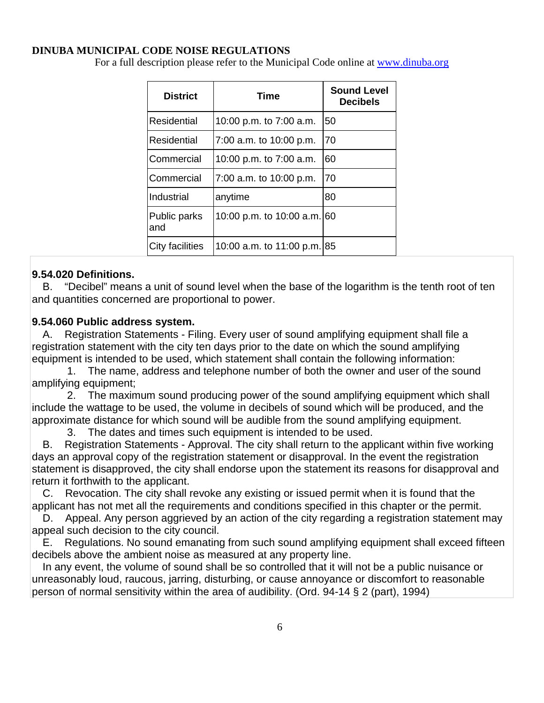#### **DINUBA MUNICIPAL CODE NOISE REGULATIONS**

For a full description please refer to the Municipal Code online at [www.dinuba.org](http://www.dinuba.org/)

| <b>District</b>     | <b>Time</b>                 | <b>Sound Level</b><br><b>Decibels</b> |
|---------------------|-----------------------------|---------------------------------------|
| Residential         | 10:00 p.m. to 7:00 a.m.     | 50                                    |
| Residential         | 7:00 a.m. to 10:00 p.m.     | 70                                    |
| ICommercial         | 10:00 p.m. to 7:00 a.m.     | 60                                    |
| Commercial          | 7:00 a.m. to 10:00 p.m.     | 70                                    |
| IIndustrial         | anytime                     | 80                                    |
| Public parks<br>and | 10:00 p.m. to 10:00 a.m. 60 |                                       |
| City facilities     | 10:00 a.m. to 11:00 p.m. 85 |                                       |

### **9.54.020 Definitions.**

B. "Decibel" means a unit of sound level when the base of the logarithm is the tenth root of ten and quantities concerned are proportional to power.

### **9.54.060 Public address system.**

A. Registration Statements - Filing. Every user of sound amplifying equipment shall file a registration statement with the city ten days prior to the date on which the sound amplifying equipment is intended to be used, which statement shall contain the following information:

1. The name, address and telephone number of both the owner and user of the sound amplifying equipment;

2. The maximum sound producing power of the sound amplifying equipment which shall include the wattage to be used, the volume in decibels of sound which will be produced, and the approximate distance for which sound will be audible from the sound amplifying equipment.

3. The dates and times such equipment is intended to be used.

B. Registration Statements - Approval. The city shall return to the applicant within five working days an approval copy of the registration statement or disapproval. In the event the registration statement is disapproved, the city shall endorse upon the statement its reasons for disapproval and return it forthwith to the applicant.

C. Revocation. The city shall revoke any existing or issued permit when it is found that the applicant has not met all the requirements and conditions specified in this chapter or the permit.

D. Appeal. Any person aggrieved by an action of the city regarding a registration statement may appeal such decision to the city council.

E. Regulations. No sound emanating from such sound amplifying equipment shall exceed fifteen decibels above the ambient noise as measured at any property line.

In any event, the volume of sound shall be so controlled that it will not be a public nuisance or unreasonably loud, raucous, jarring, disturbing, or cause annoyance or discomfort to reasonable person of normal sensitivity within the area of audibility. (Ord. 94-14 § 2 (part), 1994)